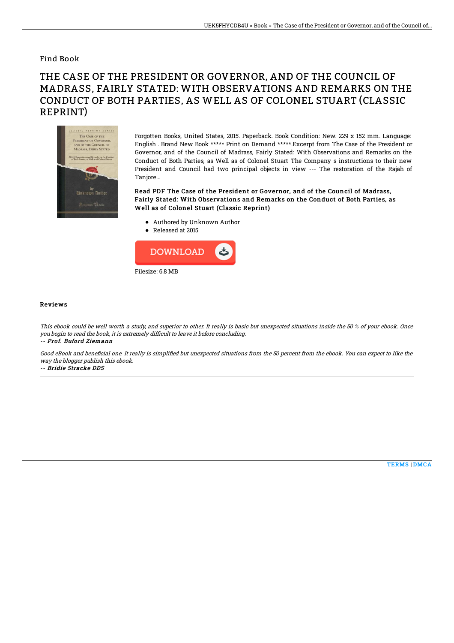## Find Book

## THE CASE OF THE PRESIDENT OR GOVERNOR, AND OF THE COUNCIL OF MADRASS, FAIRLY STATED: WITH OBSERVATIONS AND REMARKS ON THE CONDUCT OF BOTH PARTIES, AS WELL AS OF COLONEL STUART (CLASSIC REPRINT)



Forgotten Books, United States, 2015. Paperback. Book Condition: New. 229 x 152 mm. Language: English . Brand New Book \*\*\*\*\* Print on Demand \*\*\*\*\*.Excerpt from The Case of the President or Governor, and of the Council of Madrass, Fairly Stated: With Observations and Remarks on the Conduct of Both Parties, as Well as of Colonel Stuart The Company s instructions to their new President and Council had two principal objects in view --- The restoration of the Rajah of Tanjore...

Read PDF The Case of the President or Governor, and of the Council of Madrass, Fairly Stated: With Observations and Remarks on the Conduct of Both Parties, as Well as of Colonel Stuart (Classic Reprint)

- Authored by Unknown Author
- Released at 2015



## Reviews

This ebook could be well worth <sup>a</sup> study, and superior to other. It really is basic but unexpected situations inside the 50 % of your ebook. Once you begin to read the book, it is extremely difficult to leave it before concluding.

-- Prof. Buford Ziemann

Good eBook and beneficial one. It really is simplified but unexpected situations from the 50 percent from the ebook. You can expect to like the way the blogger publish this ebook.

-- Bridie Stracke DDS